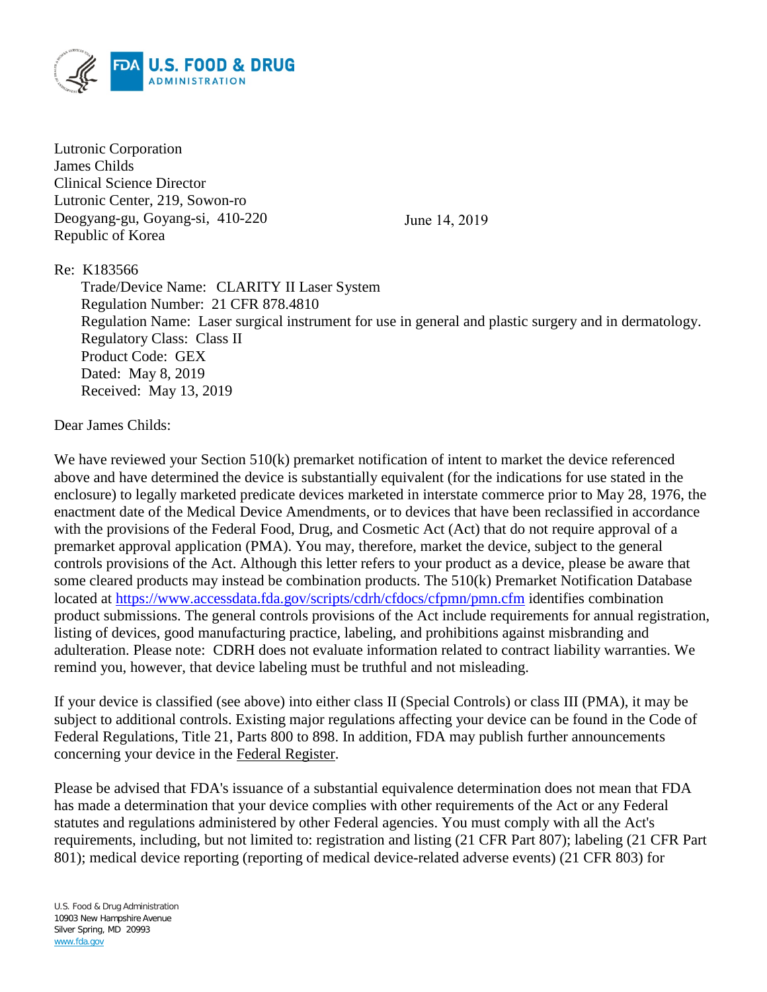

Lutronic Corporation James Childs Clinical Science Director Lutronic Center, 219, Sowon-ro Deogyang-gu, Goyang-si, 410-220 Republic of Korea

June 14, 2019

Re: K183566

Trade/Device Name: CLARITY II Laser System Regulation Number: 21 CFR 878.4810 Regulation Name: Laser surgical instrument for use in general and plastic surgery and in dermatology. Regulatory Class: Class II Product Code: GEX Dated: May 8, 2019 Received: May 13, 2019

Dear James Childs:

We have reviewed your Section 510(k) premarket notification of intent to market the device referenced above and have determined the device is substantially equivalent (for the indications for use stated in the enclosure) to legally marketed predicate devices marketed in interstate commerce prior to May 28, 1976, the enactment date of the Medical Device Amendments, or to devices that have been reclassified in accordance with the provisions of the Federal Food, Drug, and Cosmetic Act (Act) that do not require approval of a premarket approval application (PMA). You may, therefore, market the device, subject to the general controls provisions of the Act. Although this letter refers to your product as a device, please be aware that some cleared products may instead be combination products. The 510(k) Premarket Notification Database located at<https://www.accessdata.fda.gov/scripts/cdrh/cfdocs/cfpmn/pmn.cfm> identifies combination product submissions. The general controls provisions of the Act include requirements for annual registration, listing of devices, good manufacturing practice, labeling, and prohibitions against misbranding and adulteration. Please note: CDRH does not evaluate information related to contract liability warranties. We remind you, however, that device labeling must be truthful and not misleading.

If your device is classified (see above) into either class II (Special Controls) or class III (PMA), it may be subject to additional controls. Existing major regulations affecting your device can be found in the Code of Federal Regulations, Title 21, Parts 800 to 898. In addition, FDA may publish further announcements concerning your device in the Federal Register.

Please be advised that FDA's issuance of a substantial equivalence determination does not mean that FDA has made a determination that your device complies with other requirements of the Act or any Federal statutes and regulations administered by other Federal agencies. You must comply with all the Act's requirements, including, but not limited to: registration and listing (21 CFR Part 807); labeling (21 CFR Part 801); medical device reporting (reporting of medical device-related adverse events) (21 CFR 803) for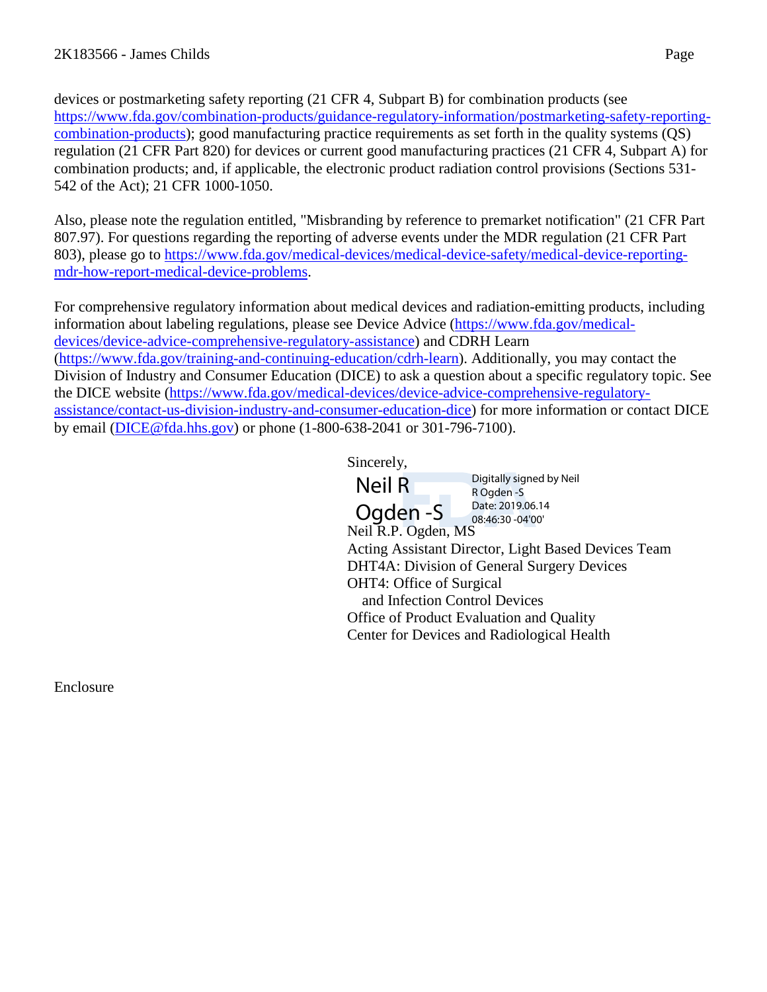devices or postmarketing safety reporting (21 CFR 4, Subpart B) for combination products (see [https://www.fda.gov/combination-products/guidance-regulatory-information/postmarketing-safety-reporting](https://www.fda.gov/combination-products/guidance-regulatory-information/postmarketing-safety-reporting-combination-products)[combination-products\)](https://www.fda.gov/combination-products/guidance-regulatory-information/postmarketing-safety-reporting-combination-products); good manufacturing practice requirements as set forth in the quality systems (QS) regulation (21 CFR Part 820) for devices or current good manufacturing practices (21 CFR 4, Subpart A) for combination products; and, if applicable, the electronic product radiation control provisions (Sections 531- 542 of the Act); 21 CFR 1000-1050.

Also, please note the regulation entitled, "Misbranding by reference to premarket notification" (21 CFR Part 807.97). For questions regarding the reporting of adverse events under the MDR regulation (21 CFR Part 803), please go to [https://www.fda.gov/medical-devices/medical-device-safety/medical-device-reporting](https://www.fda.gov/medical-devices/medical-device-safety/medical-device-reporting-mdr-how-report-medical-device-problems)[mdr-how-report-medical-device-problems.](https://www.fda.gov/medical-devices/medical-device-safety/medical-device-reporting-mdr-how-report-medical-device-problems)

For comprehensive regulatory information about medical devices and radiation-emitting products, including information about labeling regulations, please see Device Advice [\(https://www.fda.gov/medical](https://www.fda.gov/medical-devices/device-advice-comprehensive-regulatory-assistance)[devices/device-advice-comprehensive-regulatory-assistance\)](https://www.fda.gov/medical-devices/device-advice-comprehensive-regulatory-assistance) and CDRH Learn [\(https://www.fda.gov/training-and-continuing-education/cdrh-learn\)](https://www.fda.gov/training-and-continuing-education/cdrh-learn). Additionally, you may contact the Division of Industry and Consumer Education (DICE) to ask a question about a specific regulatory topic. See the DICE website [\(https://www.fda.gov/medical-devices/device-advice-comprehensive-regulatory](https://www.fda.gov/medical-devices/device-advice-comprehensive-regulatory-assistance/contact-us-division-industry-and-consumer-education-dice)[assistance/contact-us-division-industry-and-consumer-education-dice\)](https://www.fda.gov/medical-devices/device-advice-comprehensive-regulatory-assistance/contact-us-division-industry-and-consumer-education-dice) for more information or contact DICE by email [\(DICE@fda.hhs.gov\)](mailto:%20DICE@fda.hhs.gov) or phone (1-800-638-2041 or 301-796-7100).

Sincerely,

| <b>Neil R</b> | Digitally signed by Neil<br>R Ogden -S<br>Date: 2019.06.14 |  |
|---------------|------------------------------------------------------------|--|
| Oadon S       |                                                            |  |

Neil R.P. Ogden, MS Acting Assistant Director, Light Based Devices Team DHT4A: Division of General Surgery Devices OHT4: Office of Surgical and Infection Control Devices Office of Product Evaluation and Quality Center for Devices and Radiological Health Ogden -S Date: 2019.06.14 08:46:30 -04'00'

Enclosure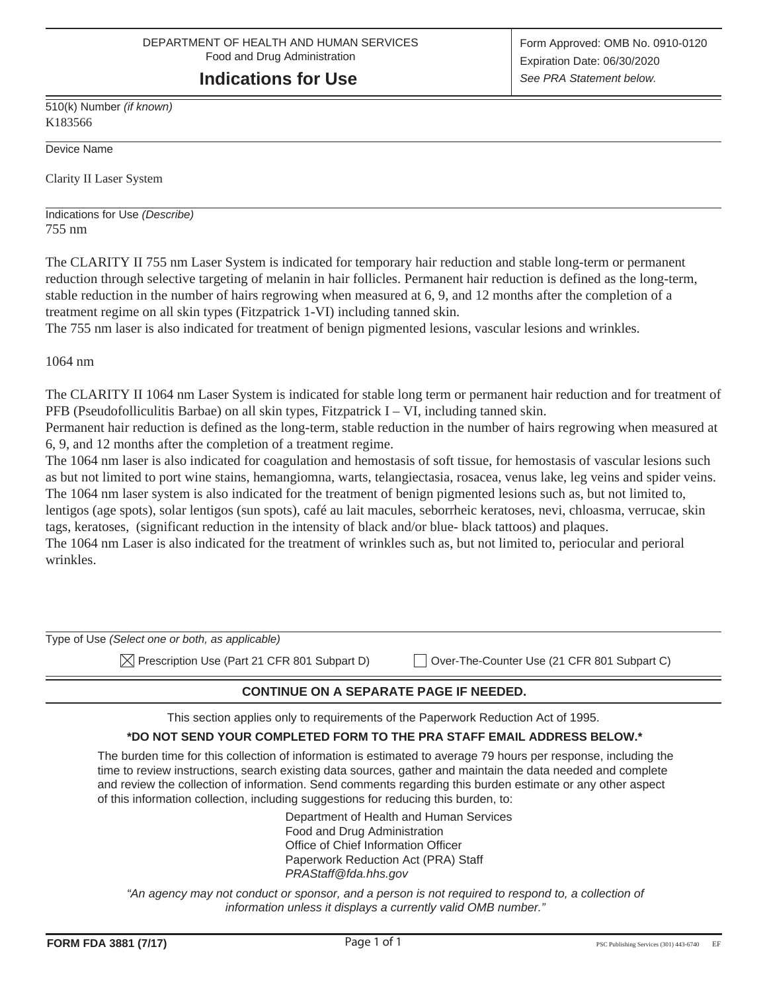# **Indications for Use**

510(k) Number *(if known)* K183566

Device Name

Clarity II Laser System

Indications for Use *(Describe)* 755 nm

The CLARITY II 755 nm Laser System is indicated for temporary hair reduction and stable long-term or permanent reduction through selective targeting of melanin in hair follicles. Permanent hair reduction is defined as the long-term, stable reduction in the number of hairs regrowing when measured at 6, 9, and 12 months after the completion of a treatment regime on all skin types (Fitzpatrick 1-VI) including tanned skin.

The 755 nm laser is also indicated for treatment of benign pigmented lesions, vascular lesions and wrinkles.

1064 nm

The CLARITY II 1064 nm Laser System is indicated for stable long term or permanent hair reduction and for treatment of PFB (Pseudofolliculitis Barbae) on all skin types, Fitzpatrick I – VI, including tanned skin.

Permanent hair reduction is defined as the long-term, stable reduction in the number of hairs regrowing when measured at 6, 9, and 12 months after the completion of a treatment regime.

The 1064 nm laser is also indicated for coagulation and hemostasis of soft tissue, for hemostasis of vascular lesions such as but not limited to port wine stains, hemangiomna, warts, telangiectasia, rosacea, venus lake, leg veins and spider veins. The 1064 nm laser system is also indicated for the treatment of benign pigmented lesions such as, but not limited to, lentigos (age spots), solar lentigos (sun spots), café au lait macules, seborrheic keratoses, nevi, chloasma, verrucae, skin tags, keratoses, (significant reduction in the intensity of black and/or blue- black tattoos) and plaques.

The 1064 nm Laser is also indicated for the treatment of wrinkles such as, but not limited to, periocular and perioral wrinkles.

| Type of Use (Select one or both, as applicable)          |                                             |
|----------------------------------------------------------|---------------------------------------------|
| $\boxtimes$ Prescription Use (Part 21 CFR 801 Subpart D) | Over-The-Counter Use (21 CFR 801 Subpart C) |

#### **CONTINUE ON A SEPARATE PAGE IF NEEDED.**

This section applies only to requirements of the Paperwork Reduction Act of 1995.

#### **\*DO NOT SEND YOUR COMPLETED FORM TO THE PRA STAFF EMAIL ADDRESS BELOW.\***

The burden time for this collection of information is estimated to average 79 hours per response, including the time to review instructions, search existing data sources, gather and maintain the data needed and complete and review the collection of information. Send comments regarding this burden estimate or any other aspect of this information collection, including suggestions for reducing this burden, to:

> Department of Health and Human Services Food and Drug Administration Office of Chief Information Officer Paperwork Reduction Act (PRA) Staff *PRAStaff@fda.hhs.gov*

*"An agency may not conduct or sponsor, and a person is not required to respond to, a collection of information unless it displays a currently valid OMB number."*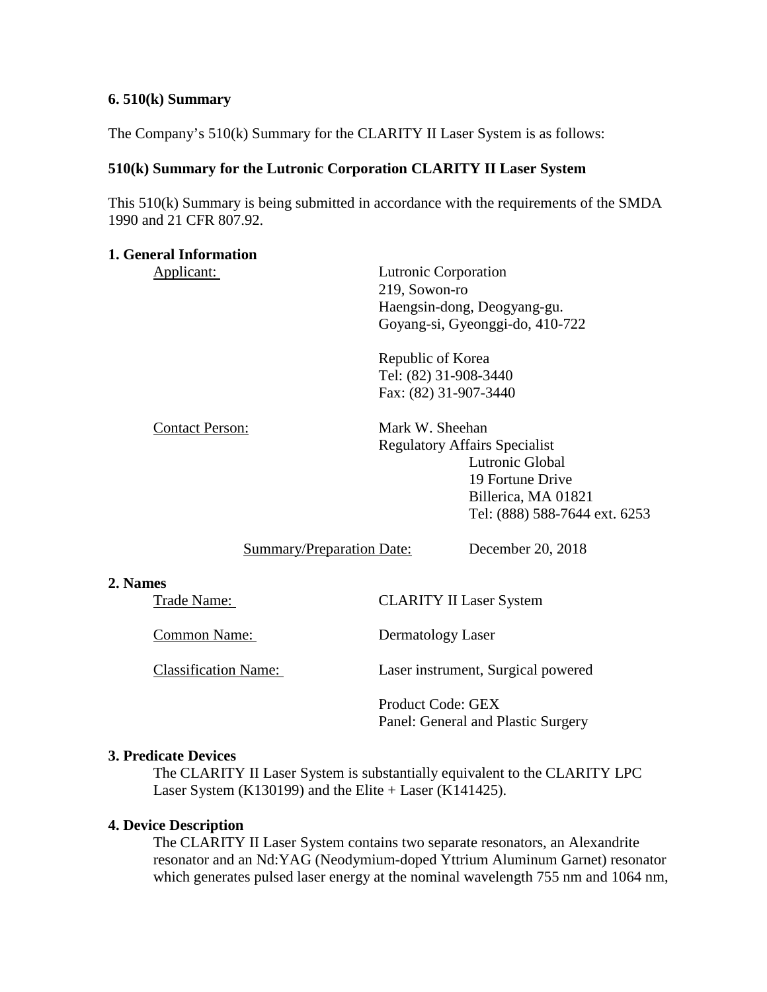### **6. 510(k) Summary**

The Company's 510(k) Summary for the CLARITY II Laser System is as follows:

## **510(k) Summary for the Lutronic Corporation CLARITY II Laser System**

This 510(k) Summary is being submitted in accordance with the requirements of the SMDA 1990 and 21 CFR 807.92.

### **1. General Information**

Applicant: Lutronic Corporation 219, Sowon-ro Haengsin-dong, Deogyang-gu. Goyang-si, Gyeonggi-do, 410-722

> Republic of Korea Tel: (82) 31-908-3440 Fax: (82) 31-907-3440

Contact Person: Mark W. Sheehan Regulatory Affairs Specialist Lutronic Global 19 Fortune Drive Billerica, MA 01821 Tel: (888) 588-7644 ext. 6253

# Summary/Preparation Date: December 20, 2018

#### **2. Names**

Trade Name: CLARITY II Laser System

Common Name: Dermatology Laser

Classification Name: Laser instrument, Surgical powered

Product Code: GEX Panel: General and Plastic Surgery

### **3. Predicate Devices**

The CLARITY II Laser System is substantially equivalent to the CLARITY LPC Laser System (K130199) and the Elite + Laser (K141425).

### **4. Device Description**

The CLARITY II Laser System contains two separate resonators, an Alexandrite resonator and an Nd:YAG (Neodymium-doped Yttrium Aluminum Garnet) resonator which generates pulsed laser energy at the nominal wavelength 755 nm and 1064 nm,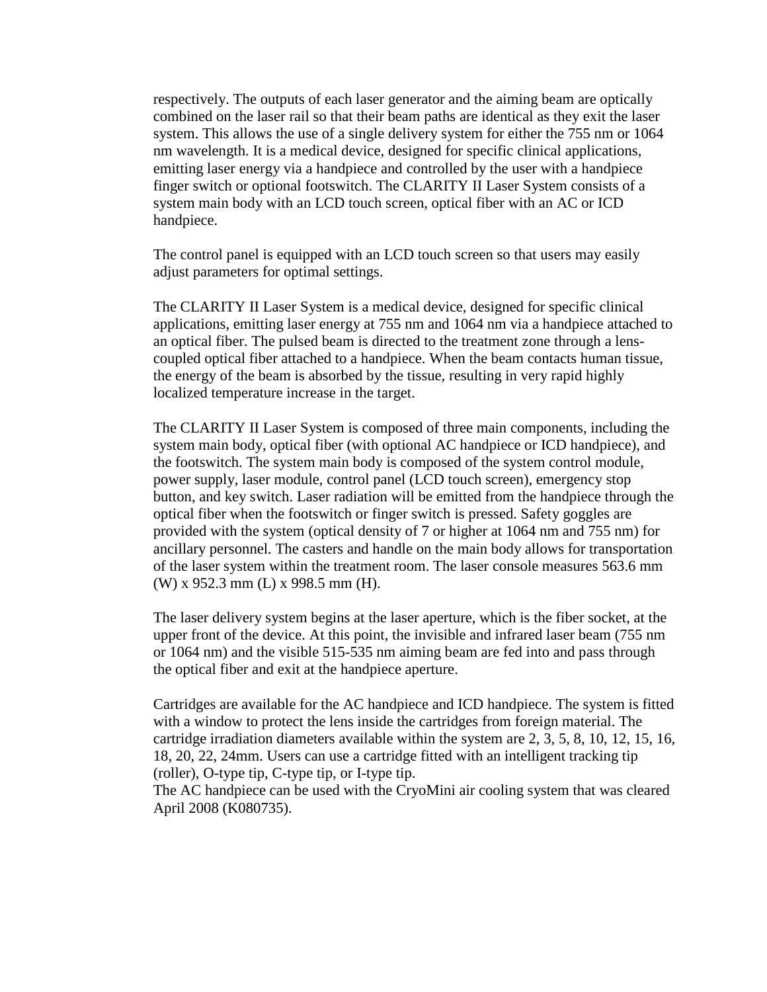respectively. The outputs of each laser generator and the aiming beam are optically combined on the laser rail so that their beam paths are identical as they exit the laser system. This allows the use of a single delivery system for either the 755 nm or 1064 nm wavelength. It is a medical device, designed for specific clinical applications, emitting laser energy via a handpiece and controlled by the user with a handpiece finger switch or optional footswitch. The CLARITY II Laser System consists of a system main body with an LCD touch screen, optical fiber with an AC or ICD handpiece.

The control panel is equipped with an LCD touch screen so that users may easily adjust parameters for optimal settings.

The CLARITY II Laser System is a medical device, designed for specific clinical applications, emitting laser energy at 755 nm and 1064 nm via a handpiece attached to an optical fiber. The pulsed beam is directed to the treatment zone through a lenscoupled optical fiber attached to a handpiece. When the beam contacts human tissue, the energy of the beam is absorbed by the tissue, resulting in very rapid highly localized temperature increase in the target.

The CLARITY II Laser System is composed of three main components, including the system main body, optical fiber (with optional AC handpiece or ICD handpiece), and the footswitch. The system main body is composed of the system control module, power supply, laser module, control panel (LCD touch screen), emergency stop button, and key switch. Laser radiation will be emitted from the handpiece through the optical fiber when the footswitch or finger switch is pressed. Safety goggles are provided with the system (optical density of 7 or higher at 1064 nm and 755 nm) for ancillary personnel. The casters and handle on the main body allows for transportation of the laser system within the treatment room. The laser console measures 563.6 mm (W) x 952.3 mm (L) x 998.5 mm (H).

The laser delivery system begins at the laser aperture, which is the fiber socket, at the upper front of the device. At this point, the invisible and infrared laser beam (755 nm or 1064 nm) and the visible 515-535 nm aiming beam are fed into and pass through the optical fiber and exit at the handpiece aperture.

Cartridges are available for the AC handpiece and ICD handpiece. The system is fitted with a window to protect the lens inside the cartridges from foreign material. The cartridge irradiation diameters available within the system are 2, 3, 5, 8, 10, 12, 15, 16, 18, 20, 22, 24mm. Users can use a cartridge fitted with an intelligent tracking tip (roller), O-type tip, C-type tip, or I-type tip.

The AC handpiece can be used with the CryoMini air cooling system that was cleared April 2008 (K080735).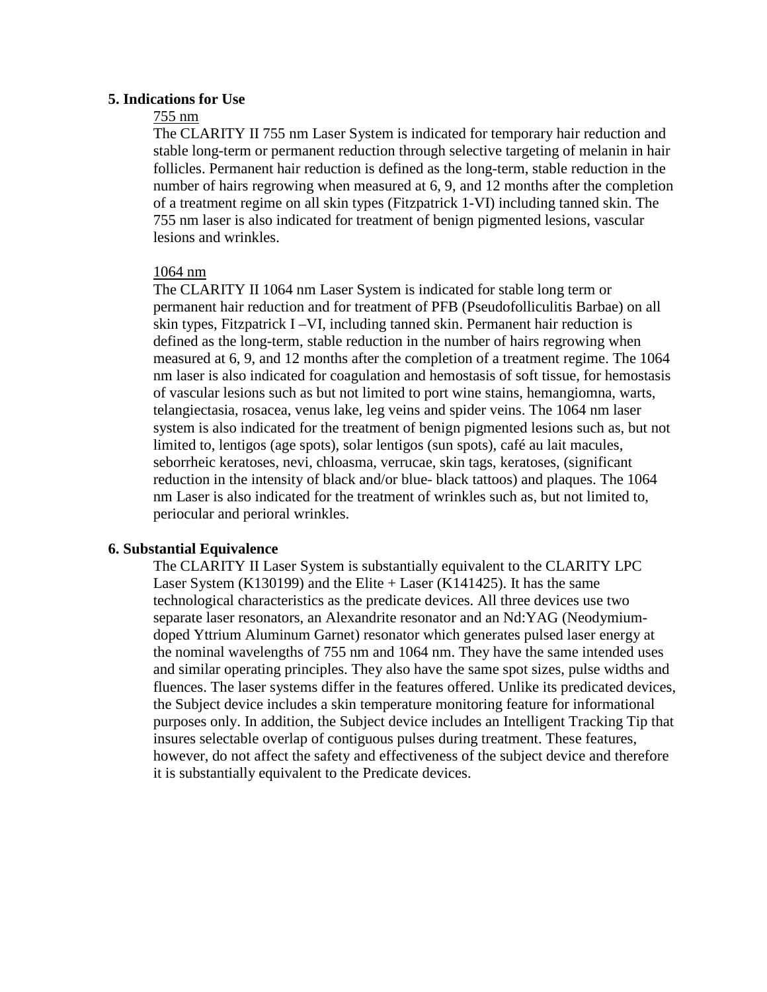#### **5. Indications for Use**

### 755 nm

The CLARITY II 755 nm Laser System is indicated for temporary hair reduction and stable long-term or permanent reduction through selective targeting of melanin in hair follicles. Permanent hair reduction is defined as the long-term, stable reduction in the number of hairs regrowing when measured at 6, 9, and 12 months after the completion of a treatment regime on all skin types (Fitzpatrick 1-VI) including tanned skin. The 755 nm laser is also indicated for treatment of benign pigmented lesions, vascular lesions and wrinkles.

#### 1064 nm

The CLARITY II 1064 nm Laser System is indicated for stable long term or permanent hair reduction and for treatment of PFB (Pseudofolliculitis Barbae) on all skin types, Fitzpatrick I –VI, including tanned skin. Permanent hair reduction is defined as the long-term, stable reduction in the number of hairs regrowing when measured at 6, 9, and 12 months after the completion of a treatment regime. The 1064 nm laser is also indicated for coagulation and hemostasis of soft tissue, for hemostasis of vascular lesions such as but not limited to port wine stains, hemangiomna, warts, telangiectasia, rosacea, venus lake, leg veins and spider veins. The 1064 nm laser system is also indicated for the treatment of benign pigmented lesions such as, but not limited to, lentigos (age spots), solar lentigos (sun spots), café au lait macules, seborrheic keratoses, nevi, chloasma, verrucae, skin tags, keratoses, (significant reduction in the intensity of black and/or blue- black tattoos) and plaques. The 1064 nm Laser is also indicated for the treatment of wrinkles such as, but not limited to, periocular and perioral wrinkles.

#### **6. Substantial Equivalence**

The CLARITY II Laser System is substantially equivalent to the CLARITY LPC Laser System (K130199) and the Elite  $+$  Laser (K141425). It has the same technological characteristics as the predicate devices. All three devices use two separate laser resonators, an Alexandrite resonator and an Nd:YAG (Neodymiumdoped Yttrium Aluminum Garnet) resonator which generates pulsed laser energy at the nominal wavelengths of 755 nm and 1064 nm. They have the same intended uses and similar operating principles. They also have the same spot sizes, pulse widths and fluences. The laser systems differ in the features offered. Unlike its predicated devices, the Subject device includes a skin temperature monitoring feature for informational purposes only. In addition, the Subject device includes an Intelligent Tracking Tip that insures selectable overlap of contiguous pulses during treatment. These features, however, do not affect the safety and effectiveness of the subject device and therefore it is substantially equivalent to the Predicate devices.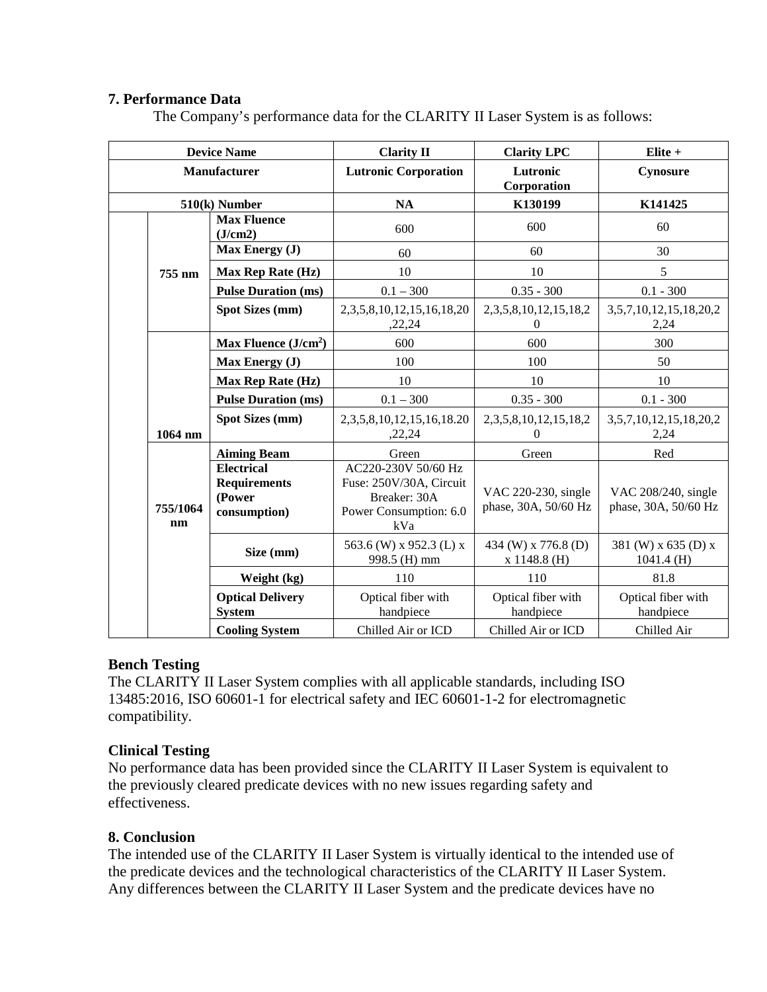## **7. Performance Data**

The Company's performance data for the CLARITY II Laser System is as follows:

| <b>Device Name</b>  |                                                                    | <b>Clarity II</b>                                                                               | <b>Clarity LPC</b>                          | Elite +                                     |
|---------------------|--------------------------------------------------------------------|-------------------------------------------------------------------------------------------------|---------------------------------------------|---------------------------------------------|
| <b>Manufacturer</b> |                                                                    | <b>Lutronic Corporation</b>                                                                     | Lutronic<br>Corporation                     | Cynosure                                    |
|                     | 510(k) Number                                                      | <b>NA</b>                                                                                       | K130199                                     | K141425                                     |
|                     | <b>Max Fluence</b><br>(J/cm2)                                      | 600                                                                                             | 600                                         | 60                                          |
|                     | Max Energy (J)                                                     | 60                                                                                              | 60                                          | 30                                          |
| 755 nm              | Max Rep Rate (Hz)                                                  | 10                                                                                              | 10                                          | 5                                           |
|                     | <b>Pulse Duration (ms)</b>                                         | $0.1 - 300$                                                                                     | $0.35 - 300$                                | $0.1 - 300$                                 |
|                     | <b>Spot Sizes (mm)</b>                                             | 2, 3, 5, 8, 10, 12, 15, 16, 18, 20<br>,22,24                                                    | 2, 3, 5, 8, 10, 12, 15, 18, 2<br>0          | 3, 5, 7, 10, 12, 15, 18, 20, 2<br>2,24      |
|                     | Max Fluence $(J/cm2)$                                              | 600                                                                                             | 600                                         | 300                                         |
|                     | Max Energy (J)                                                     | 100                                                                                             | 100                                         | 50                                          |
|                     | Max Rep Rate (Hz)                                                  | 10                                                                                              | 10                                          | 10                                          |
|                     | <b>Pulse Duration (ms)</b>                                         | $0.1 - 300$                                                                                     | $0.35 - 300$                                | $0.1 - 300$                                 |
| 1064 nm             | <b>Spot Sizes (mm)</b>                                             | 2, 3, 5, 8, 10, 12, 15, 16, 18. 20<br>,22,24                                                    | 2, 3, 5, 8, 10, 12, 15, 18, 2<br>$\Omega$   | 3, 5, 7, 10, 12, 15, 18, 20, 2<br>2,24      |
|                     | <b>Aiming Beam</b>                                                 | Green                                                                                           | Green                                       | Red                                         |
| 755/1064<br>nm      | <b>Electrical</b><br><b>Requirements</b><br>(Power<br>consumption) | AC220-230V 50/60 Hz<br>Fuse: 250V/30A, Circuit<br>Breaker: 30A<br>Power Consumption: 6.0<br>kVa | VAC 220-230, single<br>phase, 30A, 50/60 Hz | VAC 208/240, single<br>phase, 30A, 50/60 Hz |
|                     | Size (mm)                                                          | 563.6 (W) x 952.3 (L) x<br>998.5 (H) mm                                                         | 434 (W) x 776.8 (D)<br>$x 1148.8$ (H)       | 381 (W) x 635 (D) x<br>$1041.4$ (H)         |
|                     | Weight (kg)                                                        | 110                                                                                             | 110                                         | 81.8                                        |
|                     | <b>Optical Delivery</b><br><b>System</b>                           | Optical fiber with<br>handpiece                                                                 | Optical fiber with<br>handpiece             | Optical fiber with<br>handpiece             |
|                     | <b>Cooling System</b>                                              | Chilled Air or ICD                                                                              | Chilled Air or ICD                          | Chilled Air                                 |

### **Bench Testing**

The CLARITY II Laser System complies with all applicable standards, including ISO 13485:2016, ISO 60601-1 for electrical safety and IEC 60601-1-2 for electromagnetic compatibility.

### **Clinical Testing**

No performance data has been provided since the CLARITY II Laser System is equivalent to the previously cleared predicate devices with no new issues regarding safety and effectiveness.

# **8. Conclusion**

The intended use of the CLARITY II Laser System is virtually identical to the intended use of the predicate devices and the technological characteristics of the CLARITY II Laser System. Any differences between the CLARITY II Laser System and the predicate devices have no